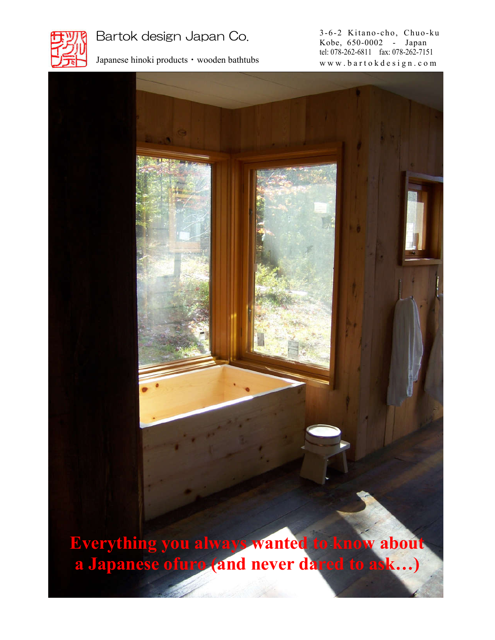

Bartok design Japan Co.

Japanese hinoki products・wooden bathtubs

3-6-2 Kitano-cho, Chuo-ku Kobe, 650-0002 - Japan tel: 078-262-6811 fax: 078-262-7151 w w w . b a r t o k d e s i g n . c o m

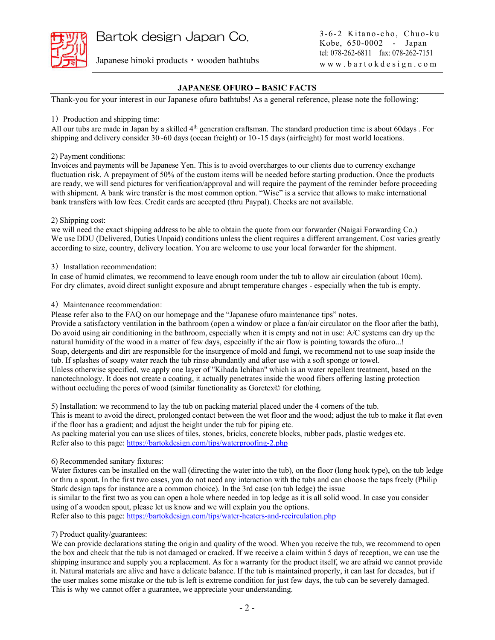Japanese hinoki products・wooden bathtubs

## **JAPANESE OFURO – BASIC FACTS**

Thank-you for your interest in our Japanese ofuro bathtubs! As a general reference, please note the following:

#### 1) Production and shipping time:

All our tubs are made in Japan by a skilled 4<sup>th</sup> generation craftsman. The standard production time is about 60days . For shipping and delivery consider 30~60 days (ocean freight) or 10~15 days (airfreight) for most world locations.

#### 2) Payment conditions:

Invoices and payments will be Japanese Yen. This is to avoid overcharges to our clients due to currency exchange fluctuation risk. A prepayment of 50% of the custom items will be needed before starting production. Once the products are ready, we will send pictures for verification/approval and will require the payment of the reminder before proceeding with shipment. A bank wire transfer is the most common option. "Wise" is a service that allows to make international bank transfers with low fees. Credit cards are accepted (thru Paypal). Checks are not available.

#### 2) Shipping cost:

we will need the exact shipping address to be able to obtain the quote from our forwarder (Naigai Forwarding Co.) We use DDU (Delivered, Duties Unpaid) conditions unless the client requires a different arrangement. Cost varies greatly according to size, country, delivery location. You are welcome to use your local forwarder for the shipment.

#### 3) Installation recommendation:

In case of humid climates, we recommend to leave enough room under the tub to allow air circulation (about 10cm). For dry climates, avoid direct sunlight exposure and abrupt temperature changes - especially when the tub is empty.

#### 4)Maintenance recommendation:

Please refer also to the FAQ on our homepage and the "Japanese ofuro maintenance tips" notes.

Provide a satisfactory ventilation in the bathroom (open a window or place a fan/air circulator on the floor after the bath), Do avoid using air conditioning in the bathroom, especially when it is empty and not in use: A/C systems can dry up the natural humidity of the wood in a matter of few days, especially if the air flow is pointing towards the ofuro...! Soap, detergents and dirt are responsible for the insurgence of mold and fungi, we recommend not to use soap inside the tub. If splashes of soapy water reach the tub rinse abundantly and after use with a soft sponge or towel. Unless otherwise specified, we apply one layer of "Kihada Ichiban" which is an water repellent treatment, based on the nanotechnology. It does not create a coating, it actually penetrates inside the wood fibers offering lasting protection without occluding the pores of wood (similar functionality as Goretex© for clothing.

5) Installation: we recommend to lay the tub on packing material placed under the 4 corners of the tub. This is meant to avoid the direct, prolonged contact between the wet floor and the wood; adjust the tub to make it flat even if the floor has a gradient; and adjust the height under the tub for piping etc.

As packing material you can use slices of tiles, stones, bricks, concrete blocks, rubber pads, plastic wedges etc. Refer also to this page: https://bartokdesign.com/tips/waterproofing-2.php

## 6) Recommended sanitary fixtures:

Water fixtures can be installed on the wall (directing the water into the tub), on the floor (long hook type), on the tub ledge or thru a spout. In the first two cases, you do not need any interaction with the tubs and can choose the taps freely (Philip Stark design taps for instance are a common choice). In the 3rd case (on tub ledge) the issue is similar to the first two as you can open a hole where needed in top ledge as it is all solid wood. In case you consider using of a wooden spout, please let us know and we will explain you the options.

Refer also to this page: https://bartokdesign.com/tips/water-heaters-and-recirculation.php

## 7) Product quality/guarantees:

We can provide declarations stating the origin and quality of the wood. When you receive the tub, we recommend to open the box and check that the tub is not damaged or cracked. If we receive a claim within 5 days of reception, we can use the shipping insurance and supply you a replacement. As for a warranty for the product itself, we are afraid we cannot provide it. Natural materials are alive and have a delicate balance. If the tub is maintained properly, it can last for decades, but if the user makes some mistake or the tub is left is extreme condition for just few days, the tub can be severely damaged. This is why we cannot offer a guarantee, we appreciate your understanding.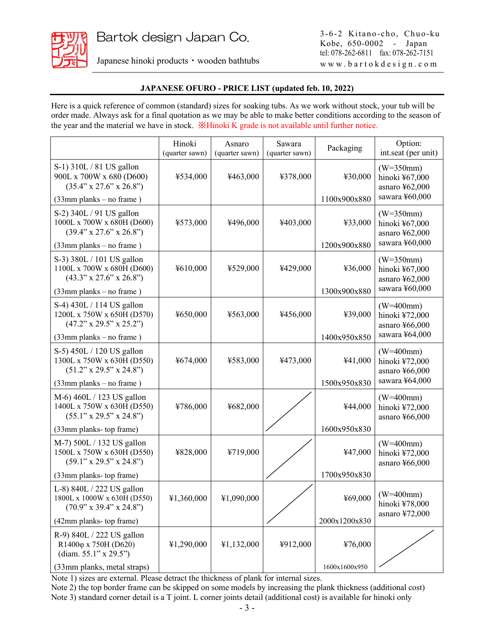![](_page_2_Picture_1.jpeg)

Japanese hinoki products・wooden bathtubs

3-6-2 Kitano-cho, Chuo-ku Kobe, 650-0002 - Japan tel: 078-262-6811 fax: 078-262-7151 w w w . b a r t o k d e s i g n . c o m

# **JAPANESE OFURO - PRICE LIST (updated feb. 10, 2022)**

Here is a quick reference of common (standard) sizes for soaking tubs. As we work without stock, your tub will be order made. Always ask for a final quotation as we may be able to make better conditions according to the season of the year and the material we have in stock. ※Hinoki K grade is not available until further notice.

|                                                                                                 | Hinoki<br>(quarter sawn) | Asnaro<br>(quarter sawn) | Sawara<br>(quarter sawn) | Packaging     | Option:<br>int.seat (per unit)                  |
|-------------------------------------------------------------------------------------------------|--------------------------|--------------------------|--------------------------|---------------|-------------------------------------------------|
| S-1) 310L / 81 US gallon<br>900L x 700W x 680 (D600)<br>$(35.4" \times 27.6" \times 26.8")$     | ¥534,000                 | ¥463,000                 | ¥378,000                 | ¥30,000       | $(W=350mm)$<br>hinoki ¥67,000<br>asnaro ¥62,000 |
| (33mm planks - no frame)                                                                        |                          |                          |                          | 1100x900x880  | sawara ¥60,000                                  |
| S-2) 340L / 91 US gallon<br>1000L x 700W x 680H (D600)<br>$(39.4" \times 27.6" \times 26.8")$   | ¥573,000                 | ¥496,000                 | ¥403,000                 | ¥33,000       | $(W=350mm)$<br>hinoki ¥67,000<br>asnaro ¥62,000 |
| $(33mm$ planks – no frame)                                                                      |                          |                          |                          | 1200x900x880  | sawara ¥60,000                                  |
| S-3) 380L / 101 US gallon<br>1100L x 700W x 680H (D600)<br>$(43.3" \times 27.6" \times 26.8")$  | ¥610,000                 | ¥529,000                 | ¥429,000                 | ¥36,000       | $(W=350mm)$<br>hinoki ¥67,000<br>asnaro ¥62,000 |
| $(33mm$ planks – no frame)                                                                      |                          |                          |                          | 1300x900x880  | sawara ¥60,000                                  |
| S-4) 430L / 114 US gallon<br>1200L x 750W x 650H (D570)<br>$(47.2" \times 29.5" \times 25.2")$  | ¥650,000                 | ¥563,000                 | ¥456,000                 | ¥39,000       | $(W=400mm)$<br>hinoki ¥72,000<br>asnaro ¥66,000 |
| $(33mm$ planks – no frame)                                                                      |                          |                          |                          | 1400x950x850  | sawara ¥64,000                                  |
| S-5) 450L / 120 US gallon<br>1300L x 750W x 630H (D550)<br>$(51.2" \times 29.5" \times 24.8")$  | ¥674,000                 | ¥583,000                 | ¥473,000                 | ¥41,000       | $(W=400mm)$<br>hinoki ¥72,000<br>asnaro ¥66,000 |
| $(33mm$ planks – no frame)                                                                      |                          |                          |                          | 1500x950x830  | sawara ¥64,000                                  |
| M-6) 460L / 123 US gallon<br>1400L x 750W x 630H (D550)<br>(55.1" x 29.5" x 24.8")              | ¥786,000                 | ¥682,000                 |                          | ¥44,000       | $(W=400mm)$<br>hinoki ¥72,000<br>asnaro ¥66,000 |
| (33mm planks- top frame)                                                                        |                          |                          |                          | 1600x950x830  |                                                 |
| M-7) 500L / 132 US gallon<br>1500L x 750W x 630H (D550)<br>(59.1" x 29.5" x 24.8")              | ¥828,000                 | ¥719,000                 |                          | ¥47,000       | $(W=400mm)$<br>hinoki ¥72,000<br>asnaro ¥66,000 |
| (33mm planks- top frame)                                                                        |                          |                          |                          | 1700x950x830  |                                                 |
| L-8) 840L / 222 US gallon<br>1800L x 1000W x 630H (D550)<br>$(70.9" \times 39.4" \times 24.8")$ | ¥1,360,000               | ¥1,090,000               |                          |               | $469,000$ (W=400mm)<br>hinoki ¥78,000           |
| (42mm planks- top frame)                                                                        |                          |                          |                          | 2000x1200x830 | asnaro ¥72,000                                  |
| R-9) 840L / 222 US gallon<br>R1400φ x 750H (D620)<br>(diam. 55.1" x 29.5")                      | ¥1,290,000               | ¥1,132,000               | ¥912,000                 | ¥76,000       |                                                 |
| (33mm planks, metal straps)                                                                     |                          |                          |                          | 1600x1600x950 |                                                 |

Note 1) sizes are external. Please detract the thickness of plank for internal sizes.

Note 2) the top border frame can be skipped on some models by increasing the plank thickness (additional cost) Note 3) standard corner detail is a T joint. L corner joints detail (additional cost) is available for hinoki only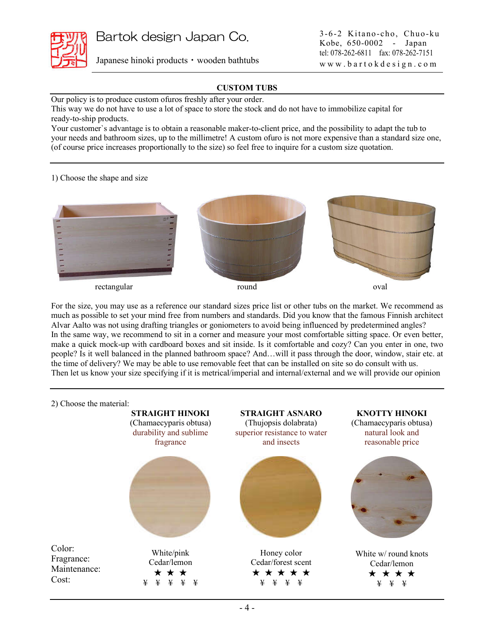![](_page_3_Picture_0.jpeg)

Bartok design Japan Co.

Japanese hinoki products・wooden bathtubs

## **CUSTOM TUBS**

Our policy is to produce custom ofuros freshly after your order.

This way we do not have to use a lot of space to store the stock and do not have to immobilize capital for ready-to-ship products.

Your customer`s advantage is to obtain a reasonable maker-to-client price, and the possibility to adapt the tub to your needs and bathroom sizes, up to the millimetre! A custom ofuro is not more expensive than a standard size one, (of course price increases proportionally to the size) so feel free to inquire for a custom size quotation.

1) Choose the shape and size

![](_page_3_Picture_9.jpeg)

For the size, you may use as a reference our standard sizes price list or other tubs on the market. We recommend as much as possible to set your mind free from numbers and standards. Did you know that the famous Finnish architect Alvar Aalto was not using drafting triangles or goniometers to avoid being influenced by predetermined angles? In the same way, we recommend to sit in a corner and measure your most comfortable sitting space. Or even better, make a quick mock-up with cardboard boxes and sit inside. Is it comfortable and cozy? Can you enter in one, two people? Is it well balanced in the planned bathroom space? And…will it pass through the door, window, stair etc. at the time of delivery? We may be able to use removable feet that can be installed on site so do consult with us. Then let us know your size specifying if it is metrical/imperial and internal/external and we will provide our opinion

![](_page_3_Figure_12.jpeg)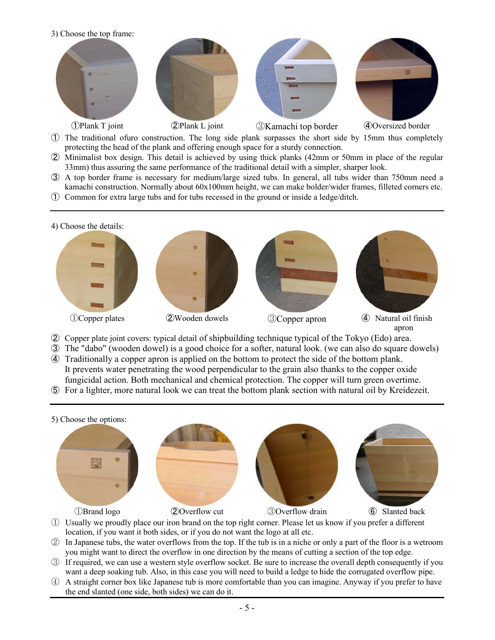![](_page_4_Picture_0.jpeg)

- ① The traditional ofuro construction. The long side plank surpasses the short side by 15mm thus completely protecting the head of the plank and offering enough space for a sturdy connection.
- ② Minimalist box design. This detail is achieved by using thick planks (42mm or 50mm in place of the regular 33mm) thus assuring the same performance of the traditional detail with a simpler, sharper look.
- ③ A top border frame is necessary for medium/large sized tubs. In general, all tubs wider than 750mm need a kamachi construction. Normally about 60x100mm height, we can make bolder/wider frames, filleted corners etc.
- ① Common for extra large tubs and for tubs recessed in the ground or inside a ledge/ditch.

![](_page_4_Picture_5.jpeg)

- ② Copper plate joint covers: typical detail of shipbuilding technique typical of the Tokyo (Edo) area.
- ③ The "dabo" (wooden dowel) is a good choice for a softer, natural look. (we can also do square dowels)
- ④ Traditionally a copper apron is applied on the bottom to protect the side of the bottom plank. It prevents water penetrating the wood perpendicular to the grain also thanks to the copper oxide fungicidal action. Both mechanical and chemical protection. The copper will turn green overtime.
- ⑤ For a lighter, more natural look we can treat the bottom plank section with natural oil by Kreidezeit.

![](_page_4_Picture_10.jpeg)

- ① Usually we proudly place our iron brand on the top right corner. Please let us know if you prefer a different location, if you want it both sides, or if you do not want the logo at all etc.
- ② In Japanese tubs, the water overflows from the top. If the tub is in a niche or only a part of the floor is a wetroom you might want to direct the overflow in one direction by the means of cutting a section of the top edge.
- ③ If required, we can use a western style overflow socket. Be sure to increase the overall depth consequently if you want a deep soaking tub. Also, in this case you will need to build a ledge to hide the corrugated overflow pipe.
- ④ A straight corner box like Japanese tub is more comfortable than you can imagine. Anyway if you prefer to have the end slanted (one side, both sides) we can do it.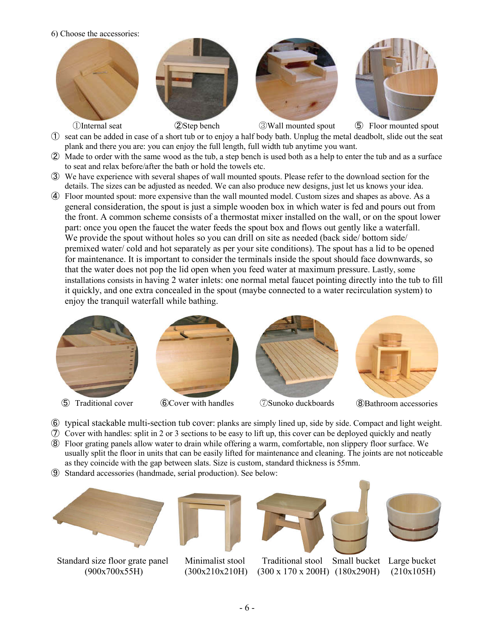6) Choose the accessories:

![](_page_5_Picture_1.jpeg)

- ① seat can be added in case of a short tub or to enjoy a half body bath. Unplug the metal deadbolt, slide out the seat plank and there you are: you can enjoy the full length, full width tub anytime you want.
- ② Made to order with the same wood as the tub, a step bench is used both as a help to enter the tub and as a surface to seat and relax before/after the bath or hold the towels etc.
- ③ We have experience with several shapes of wall mounted spouts. Please refer to the download section for the details. The sizes can be adjusted as needed. We can also produce new designs, just let us knows your idea.
- ④ Floor mounted spout: more expensive than the wall mounted model. Custom sizes and shapes as above. As a general consideration, the spout is just a simple wooden box in which water is fed and pours out from the front. A common scheme consists of a thermostat mixer installed on the wall, or on the spout lower part: once you open the faucet the water feeds the spout box and flows out gently like a waterfall. We provide the spout without holes so you can drill on site as needed (back side/ bottom side/ premixed water/ cold and hot separately as per your site conditions). The spout has a lid to be opened for maintenance. It is important to consider the terminals inside the spout should face downwards, so that the water does not pop the lid open when you feed water at maximum pressure. Lastly, some installations consists in having 2 water inlets: one normal metal faucet pointing directly into the tub to fill it quickly, and one extra concealed in the spout (maybe connected to a water recirculation system) to enjoy the tranquil waterfall while bathing.

![](_page_5_Picture_6.jpeg)

![](_page_5_Picture_8.jpeg)

![](_page_5_Picture_10.jpeg)

![](_page_5_Picture_11.jpeg)

- ⑥ typical stackable multi-section tub cover: planks are simply lined up, side by side. Compact and light weight.
- ⑦ Cover with handles: split in 2 or 3 sections to be easy to lift up, this cover can be deployed quickly and neatly
- ⑧ Floor grating panels allow water to drain while offering a warm, comfortable, non slippery floor surface. We usually split the floor in units that can be easily lifted for maintenance and cleaning. The joints are not noticeable as they coincide with the gap between slats. Size is custom, standard thickness is 55mm.
- ⑨ Standard accessories (handmade, serial production). See below:

![](_page_5_Picture_17.jpeg)

Standard size floor grate panel (900x700x55H)

![](_page_5_Picture_19.jpeg)

Minimalist stool (300x210x210H)

![](_page_5_Picture_21.jpeg)

Traditional stool (300 x 170 x 200H) (180x290H)

![](_page_5_Picture_23.jpeg)

Small bucket Large bucket (210x105H)